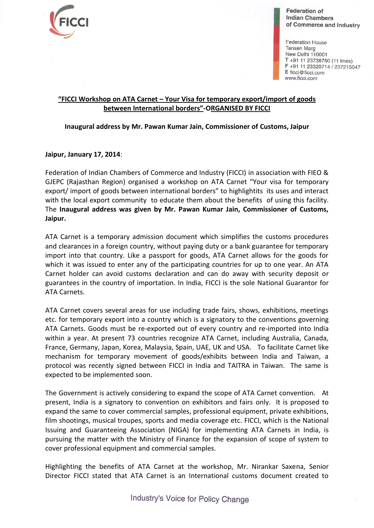

**Federation of Indian Chambers** of Commerce and Industry

**Federation House Tansen Marg** New Delhi 110001  $T$  +91 11 23738760 (11 lines)  $F + 911123320714 / 237215047$ E ficci@ficci.com www.ficci.com

## **"FICCI Workshop on ATA Carnet – Your Visa for temporary export/import of goods between International borders"-ORGANISED BY FICCI**

## **Inaugural address by Mr. Pawan Kumar Jain, Commissioner of Customs, Jaipur**

## **Jaipur, January 17, 2014**:

Federation of Indian Chambers of Commerce and Industry (FICCI) in association with FIEO & GJEPC (Rajasthan Region) organised a workshop on ATA Carnet "Your visa for temporary export/ import of goods between international borders" to highlightits its uses and interact with the local export community to educate them about the benefits of using this facility. The **Inaugural address was given by Mr. Pawan Kumar Jain, Commissioner of Customs, Jaipur.**

ATA Carnet is a temporary admission document which simplifies the customs procedures and clearances in a foreign country, without paying duty or a bank guarantee for temporary import into that country. Like a passport for goods, ATA Carnet allows for the goods for which it was issued to enter any of the participating countries for up to one year. An ATA Carnet holder can avoid customs declaration and can do away with security deposit or guarantees in the country of importation. In India, FICCI is the sole National Guarantor for ATA Carnets.

ATA Carnet covers several areas for use including trade fairs, shows, exhibitions, meetings etc. for temporary export into a country which is a signatory to the conventions governing ATA Carnets. Goods must be re-exported out of every country and re-imported into India within a year. At present 73 countries recognize ATA Carnet, including Australia, Canada, France, Germany, Japan, Korea, Malaysia, Spain, UAE, UK and USA. To facilitate Carnet like mechanism for temporary movement of goods/exhibits between India and Taiwan, a protocol was recently signed between FICCI in India and TAITRA in Taiwan. The same is expected to be implemented soon.

The Government is actively considering to expand the scope of ATA Carnet convention. At present, India is a signatory to convention on exhibitors and fairs only. It is proposed to expand the same to cover commercial samples, professional equipment, private exhibitions, film shootings, musical troupes, sports and media coverage etc. FICCI, which is the National Issuing and Guaranteeing Association (NIGA) for implementing ATA Carnets in India, is pursuing the matter with the Ministry of Finance for the expansion of scope of system to cover professional equipment and commercial samples.

Highlighting the benefits of ATA Carnet at the workshop, Mr. Nirankar Saxena, Senior Director FICCI stated that ATA Carnet is an International customs document created to